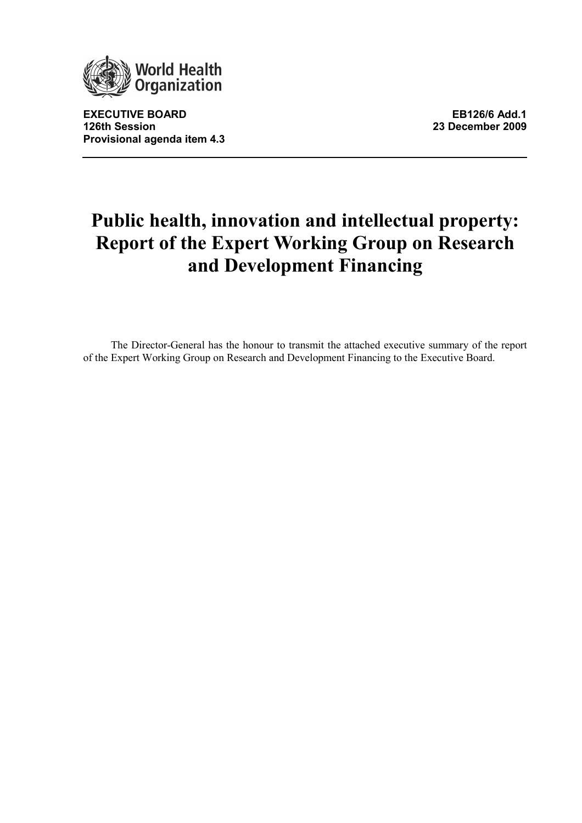

EXECUTIVE BOARD **EXECUTIVE BOARD** 126th Session 23 December 2009 Provisional agenda item 4.3

# Public health, innovation and intellectual property: Report of the Expert Working Group on Research and Development Financing

The Director-General has the honour to transmit the attached executive summary of the report of the Expert Working Group on Research and Development Financing to the Executive Board.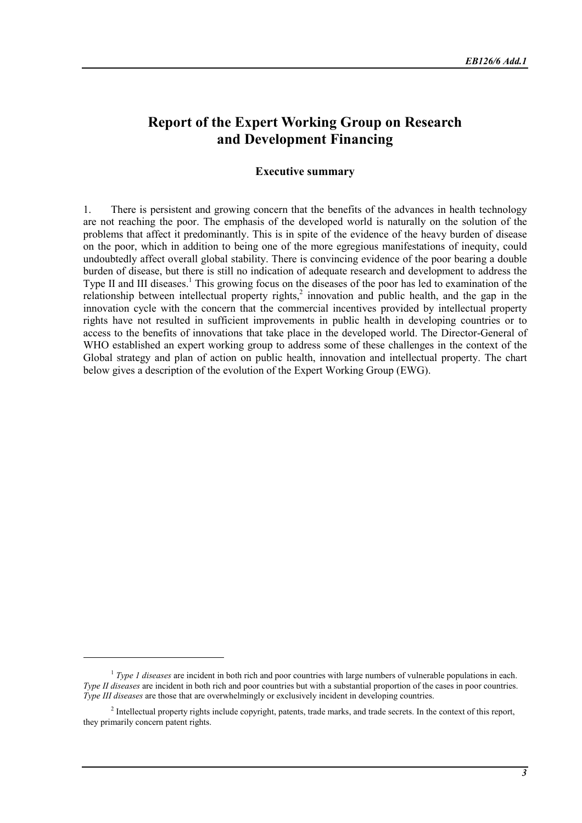# Report of the Expert Working Group on Research and Development Financing

#### Executive summary

1. There is persistent and growing concern that the benefits of the advances in health technology are not reaching the poor. The emphasis of the developed world is naturally on the solution of the problems that affect it predominantly. This is in spite of the evidence of the heavy burden of disease on the poor, which in addition to being one of the more egregious manifestations of inequity, could undoubtedly affect overall global stability. There is convincing evidence of the poor bearing a double burden of disease, but there is still no indication of adequate research and development to address the Type II and III diseases.<sup>1</sup> This growing focus on the diseases of the poor has led to examination of the relationship between intellectual property rights,<sup>2</sup> innovation and public health, and the gap in the innovation cycle with the concern that the commercial incentives provided by intellectual property rights have not resulted in sufficient improvements in public health in developing countries or to access to the benefits of innovations that take place in the developed world. The Director-General of WHO established an expert working group to address some of these challenges in the context of the Global strategy and plan of action on public health, innovation and intellectual property. The chart below gives a description of the evolution of the Expert Working Group (EWG).

<sup>&</sup>lt;sup>1</sup> Type 1 diseases are incident in both rich and poor countries with large numbers of vulnerable populations in each. Type II diseases are incident in both rich and poor countries but with a substantial proportion of the cases in poor countries. Type III diseases are those that are overwhelmingly or exclusively incident in developing countries.

<sup>&</sup>lt;sup>2</sup> Intellectual property rights include copyright, patents, trade marks, and trade secrets. In the context of this report, they primarily concern patent rights.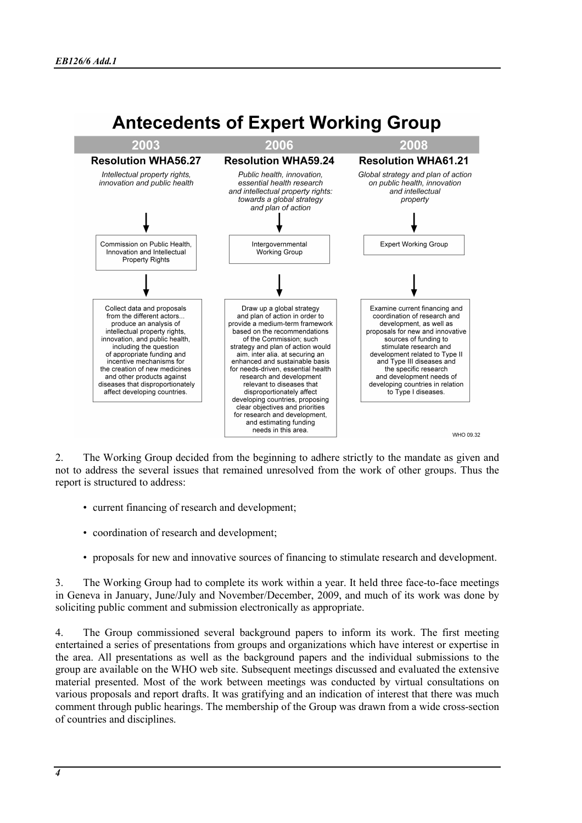# **Antecedents of Expert Working Group**



2. The Working Group decided from the beginning to adhere strictly to the mandate as given and not to address the several issues that remained unresolved from the work of other groups. Thus the report is structured to address:

- current financing of research and development;
- coordination of research and development;
- proposals for new and innovative sources of financing to stimulate research and development.

3. The Working Group had to complete its work within a year. It held three face-to-face meetings in Geneva in January, June/July and November/December, 2009, and much of its work was done by soliciting public comment and submission electronically as appropriate.

4. The Group commissioned several background papers to inform its work. The first meeting entertained a series of presentations from groups and organizations which have interest or expertise in the area. All presentations as well as the background papers and the individual submissions to the group are available on the WHO web site. Subsequent meetings discussed and evaluated the extensive material presented. Most of the work between meetings was conducted by virtual consultations on various proposals and report drafts. It was gratifying and an indication of interest that there was much comment through public hearings. The membership of the Group was drawn from a wide cross-section of countries and disciplines.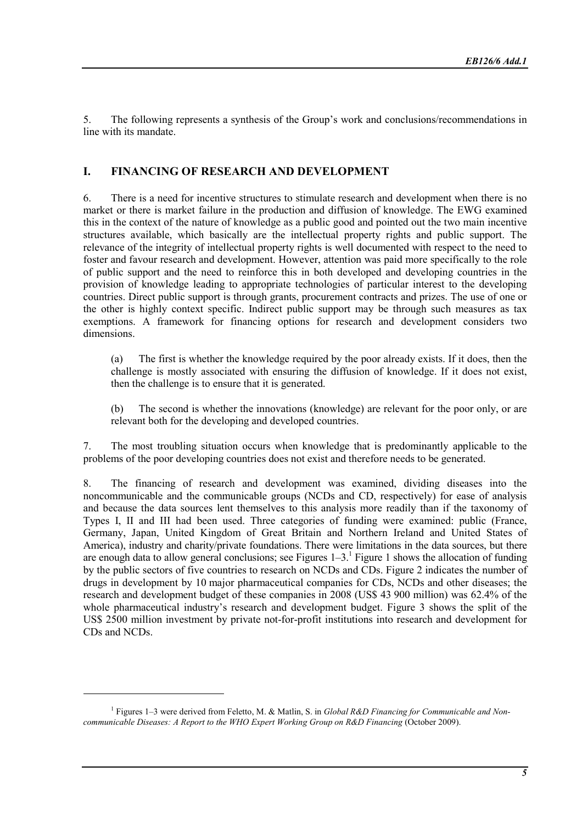5. The following represents a synthesis of the Group's work and conclusions/recommendations in line with its mandate.

# I. FINANCING OF RESEARCH AND DEVELOPMENT

6. There is a need for incentive structures to stimulate research and development when there is no market or there is market failure in the production and diffusion of knowledge. The EWG examined this in the context of the nature of knowledge as a public good and pointed out the two main incentive structures available, which basically are the intellectual property rights and public support. The relevance of the integrity of intellectual property rights is well documented with respect to the need to foster and favour research and development. However, attention was paid more specifically to the role of public support and the need to reinforce this in both developed and developing countries in the provision of knowledge leading to appropriate technologies of particular interest to the developing countries. Direct public support is through grants, procurement contracts and prizes. The use of one or the other is highly context specific. Indirect public support may be through such measures as tax exemptions. A framework for financing options for research and development considers two dimensions.

(a) The first is whether the knowledge required by the poor already exists. If it does, then the challenge is mostly associated with ensuring the diffusion of knowledge. If it does not exist, then the challenge is to ensure that it is generated.

(b) The second is whether the innovations (knowledge) are relevant for the poor only, or are relevant both for the developing and developed countries.

7. The most troubling situation occurs when knowledge that is predominantly applicable to the problems of the poor developing countries does not exist and therefore needs to be generated.

8. The financing of research and development was examined, dividing diseases into the noncommunicable and the communicable groups (NCDs and CD, respectively) for ease of analysis and because the data sources lent themselves to this analysis more readily than if the taxonomy of Types I, II and III had been used. Three categories of funding were examined: public (France, Germany, Japan, United Kingdom of Great Britain and Northern Ireland and United States of America), industry and charity/private foundations. There were limitations in the data sources, but there are enough data to allow general conclusions; see Figures  $1-3$ .<sup>1</sup> Figure 1 shows the allocation of funding by the public sectors of five countries to research on NCDs and CDs. Figure 2 indicates the number of drugs in development by 10 major pharmaceutical companies for CDs, NCDs and other diseases; the research and development budget of these companies in 2008 (US\$ 43 900 million) was 62.4% of the whole pharmaceutical industry's research and development budget. Figure 3 shows the split of the US\$ 2500 million investment by private not-for-profit institutions into research and development for CDs and NCDs.

<sup>&</sup>lt;sup>1</sup> Figures 1–3 were derived from Feletto, M. & Matlin, S. in Global R&D Financing for Communicable and Noncommunicable Diseases: A Report to the WHO Expert Working Group on R&D Financing (October 2009).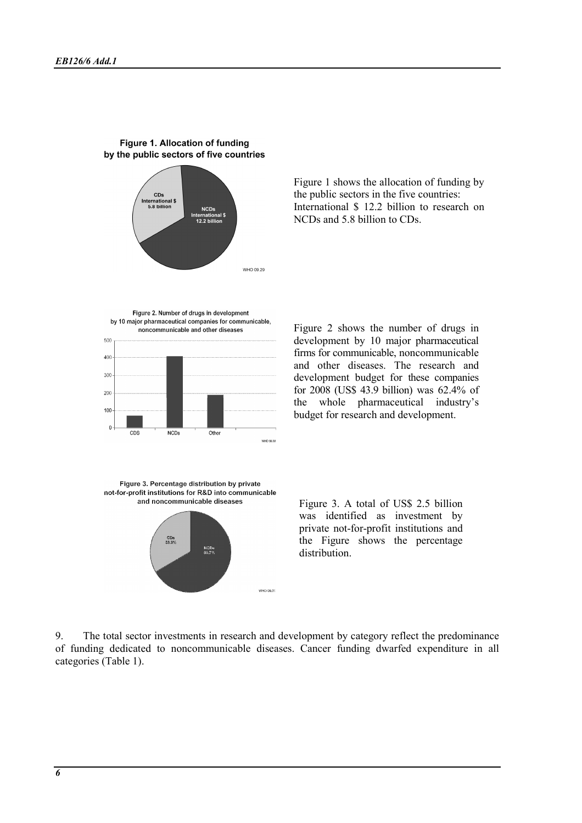

#### Figure 1. Allocation of funding by the public sectors of five countries

NCDs and 5.8 billion to CDs.

Figure 2. Number of drugs in development by 10 major pharmaceutical companies for communicable, noncommunicable and other diseases



Figure 2 shows the number of drugs in development by 10 major pharmaceutical firms for communicable, noncommunicable and other diseases. The research and development budget for these companies for 2008 (US\$ 43.9 billion) was 62.4% of the whole pharmaceutical industry's budget for research and development.

Figure 1 shows the allocation of funding by the public sectors in the five countries: International \$ 12.2 billion to research on

Figure 3. Percentage distribution by private not-for-profit institutions for R&D into communicable and noncommunicable diseases



Figure 3. A total of US\$ 2.5 billion was identified as investment by private not-for-profit institutions and the Figure shows the percentage distribution.

9. The total sector investments in research and development by category reflect the predominance of funding dedicated to noncommunicable diseases. Cancer funding dwarfed expenditure in all categories (Table 1).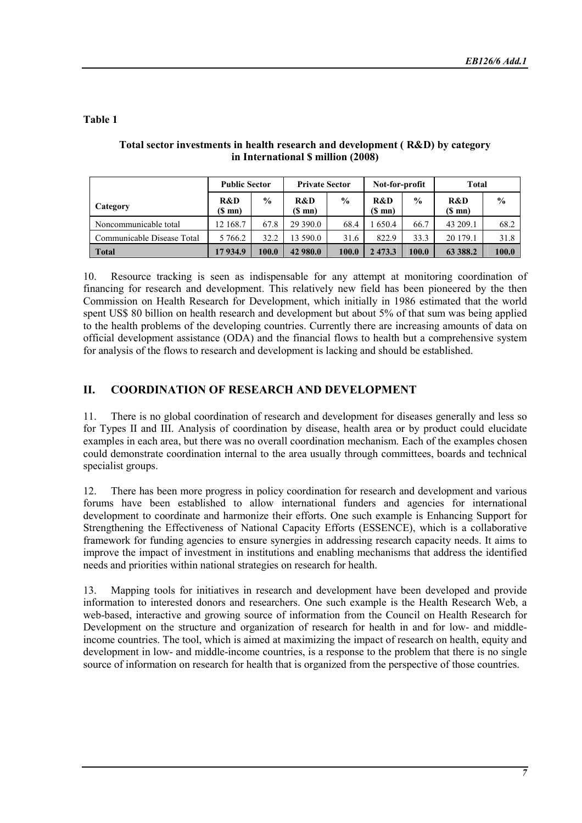# Table 1

|                            | <b>Public Sector</b> |               | <b>Private Sector</b>   |               | Not-for-profit          |               | <b>Total</b>            |               |
|----------------------------|----------------------|---------------|-------------------------|---------------|-------------------------|---------------|-------------------------|---------------|
| Category                   | R&D<br>(\$ mn)       | $\frac{0}{0}$ | R&D<br>$(S \text{ mn})$ | $\frac{0}{0}$ | R&D<br>$(S \text{ mn})$ | $\frac{6}{9}$ | R&D<br>$(S \text{ mn})$ | $\frac{6}{9}$ |
| Noncommunicable total      | 12 168.7             | 67.8          | 29 390.0                | 68.4          | 650.4                   | 66.7          | 43 209.1                | 68.2          |
| Communicable Disease Total | 5 766.2              | 32.2          | 13 590.0                | 31.6          | 822.9                   | 33.3          | 20 179.1                | 31.8          |
| <b>Total</b>               | 17934.9              | 100.0         | 42 980.0                | 100.0         | 2 473.3                 | 100.0         | 63 388.2                | 100.0         |

# Total sector investments in health research and development ( R&D) by category in International \$ million (2008)

10. Resource tracking is seen as indispensable for any attempt at monitoring coordination of financing for research and development. This relatively new field has been pioneered by the then Commission on Health Research for Development, which initially in 1986 estimated that the world spent US\$ 80 billion on health research and development but about 5% of that sum was being applied to the health problems of the developing countries. Currently there are increasing amounts of data on official development assistance (ODA) and the financial flows to health but a comprehensive system for analysis of the flows to research and development is lacking and should be established.

# II. COORDINATION OF RESEARCH AND DEVELOPMENT

11. There is no global coordination of research and development for diseases generally and less so for Types II and III. Analysis of coordination by disease, health area or by product could elucidate examples in each area, but there was no overall coordination mechanism. Each of the examples chosen could demonstrate coordination internal to the area usually through committees, boards and technical specialist groups.

12. There has been more progress in policy coordination for research and development and various forums have been established to allow international funders and agencies for international development to coordinate and harmonize their efforts. One such example is Enhancing Support for Strengthening the Effectiveness of National Capacity Efforts (ESSENCE), which is a collaborative framework for funding agencies to ensure synergies in addressing research capacity needs. It aims to improve the impact of investment in institutions and enabling mechanisms that address the identified needs and priorities within national strategies on research for health.

13. Mapping tools for initiatives in research and development have been developed and provide information to interested donors and researchers. One such example is the Health Research Web, a web-based, interactive and growing source of information from the Council on Health Research for Development on the structure and organization of research for health in and for low- and middleincome countries. The tool, which is aimed at maximizing the impact of research on health, equity and development in low- and middle-income countries, is a response to the problem that there is no single source of information on research for health that is organized from the perspective of those countries.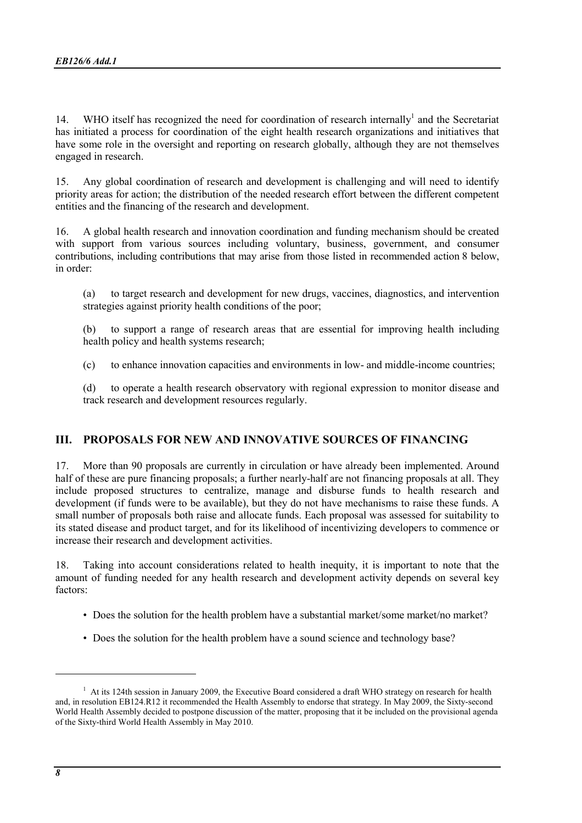14. WHO itself has recognized the need for coordination of research internally<sup>1</sup> and the Secretariat has initiated a process for coordination of the eight health research organizations and initiatives that have some role in the oversight and reporting on research globally, although they are not themselves engaged in research.

15. Any global coordination of research and development is challenging and will need to identify priority areas for action; the distribution of the needed research effort between the different competent entities and the financing of the research and development.

16. A global health research and innovation coordination and funding mechanism should be created with support from various sources including voluntary, business, government, and consumer contributions, including contributions that may arise from those listed in recommended action 8 below, in order:

(a) to target research and development for new drugs, vaccines, diagnostics, and intervention strategies against priority health conditions of the poor;

(b) to support a range of research areas that are essential for improving health including health policy and health systems research;

(c) to enhance innovation capacities and environments in low- and middle-income countries;

(d) to operate a health research observatory with regional expression to monitor disease and track research and development resources regularly.

# III. PROPOSALS FOR NEW AND INNOVATIVE SOURCES OF FINANCING

17. More than 90 proposals are currently in circulation or have already been implemented. Around half of these are pure financing proposals; a further nearly-half are not financing proposals at all. They include proposed structures to centralize, manage and disburse funds to health research and development (if funds were to be available), but they do not have mechanisms to raise these funds. A small number of proposals both raise and allocate funds. Each proposal was assessed for suitability to its stated disease and product target, and for its likelihood of incentivizing developers to commence or increase their research and development activities.

18. Taking into account considerations related to health inequity, it is important to note that the amount of funding needed for any health research and development activity depends on several key factors:

- Does the solution for the health problem have a substantial market/some market/no market?
- Does the solution for the health problem have a sound science and technology base?

<sup>&</sup>lt;sup>1</sup> At its 124th session in January 2009, the Executive Board considered a draft WHO strategy on research for health and, in resolution EB124.R12 it recommended the Health Assembly to endorse that strategy. In May 2009, the Sixty-second World Health Assembly decided to postpone discussion of the matter, proposing that it be included on the provisional agenda of the Sixty-third World Health Assembly in May 2010.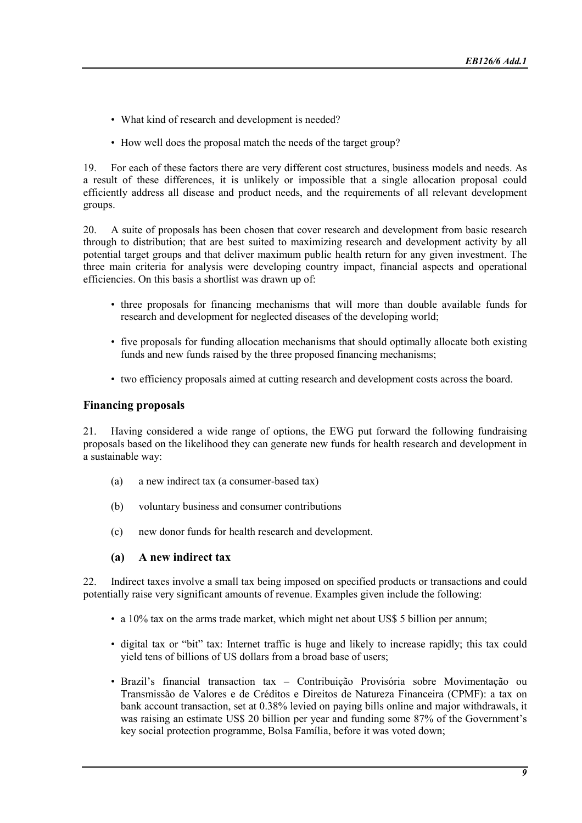- What kind of research and development is needed?
- How well does the proposal match the needs of the target group?

19. For each of these factors there are very different cost structures, business models and needs. As a result of these differences, it is unlikely or impossible that a single allocation proposal could efficiently address all disease and product needs, and the requirements of all relevant development groups.

20. A suite of proposals has been chosen that cover research and development from basic research through to distribution; that are best suited to maximizing research and development activity by all potential target groups and that deliver maximum public health return for any given investment. The three main criteria for analysis were developing country impact, financial aspects and operational efficiencies. On this basis a shortlist was drawn up of:

- three proposals for financing mechanisms that will more than double available funds for research and development for neglected diseases of the developing world;
- five proposals for funding allocation mechanisms that should optimally allocate both existing funds and new funds raised by the three proposed financing mechanisms;
- two efficiency proposals aimed at cutting research and development costs across the board.

## Financing proposals

21. Having considered a wide range of options, the EWG put forward the following fundraising proposals based on the likelihood they can generate new funds for health research and development in a sustainable way:

- (a) a new indirect tax (a consumer-based tax)
- (b) voluntary business and consumer contributions
- (c) new donor funds for health research and development.

# (a) A new indirect tax

22. Indirect taxes involve a small tax being imposed on specified products or transactions and could potentially raise very significant amounts of revenue. Examples given include the following:

- a 10% tax on the arms trade market, which might net about US\$ 5 billion per annum;
- digital tax or "bit" tax: Internet traffic is huge and likely to increase rapidly; this tax could yield tens of billions of US dollars from a broad base of users;
- Brazil's financial transaction tax Contribuição Provisória sobre Movimentação ou Transmissão de Valores e de Créditos e Direitos de Natureza Financeira (CPMF): a tax on bank account transaction, set at 0.38% levied on paying bills online and major withdrawals, it was raising an estimate US\$ 20 billion per year and funding some 87% of the Government's key social protection programme, Bolsa Família, before it was voted down;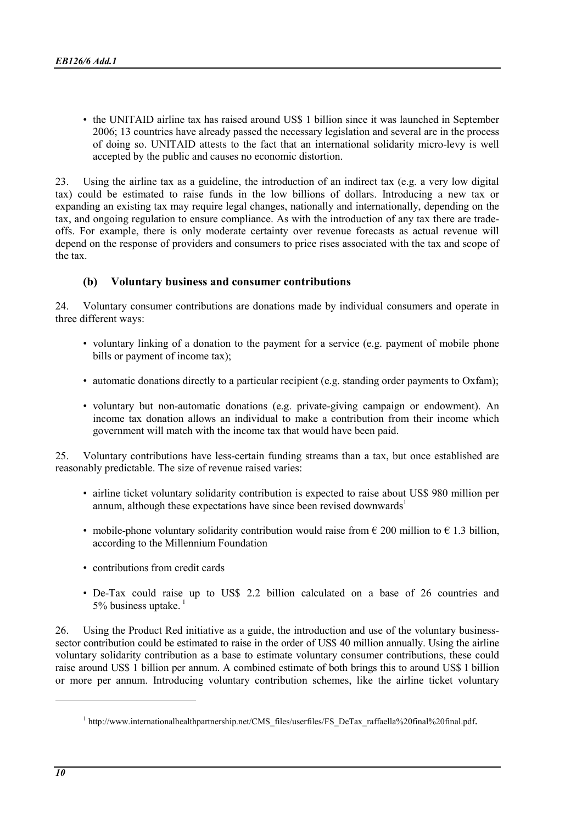• the UNITAID airline tax has raised around US\$ 1 billion since it was launched in September 2006; 13 countries have already passed the necessary legislation and several are in the process of doing so. UNITAID attests to the fact that an international solidarity micro-levy is well accepted by the public and causes no economic distortion.

23. Using the airline tax as a guideline, the introduction of an indirect tax (e.g. a very low digital tax) could be estimated to raise funds in the low billions of dollars. Introducing a new tax or expanding an existing tax may require legal changes, nationally and internationally, depending on the tax, and ongoing regulation to ensure compliance. As with the introduction of any tax there are tradeoffs. For example, there is only moderate certainty over revenue forecasts as actual revenue will depend on the response of providers and consumers to price rises associated with the tax and scope of the tax.

# (b) Voluntary business and consumer contributions

24. Voluntary consumer contributions are donations made by individual consumers and operate in three different ways:

- voluntary linking of a donation to the payment for a service (e.g. payment of mobile phone bills or payment of income tax);
- automatic donations directly to a particular recipient (e.g. standing order payments to Oxfam);
- voluntary but non-automatic donations (e.g. private-giving campaign or endowment). An income tax donation allows an individual to make a contribution from their income which government will match with the income tax that would have been paid.

25. Voluntary contributions have less-certain funding streams than a tax, but once established are reasonably predictable. The size of revenue raised varies:

- airline ticket voluntary solidarity contribution is expected to raise about US\$ 980 million per annum, although these expectations have since been revised downwards<sup>1</sup>
- mobile-phone voluntary solidarity contribution would raise from  $\epsilon$  200 million to  $\epsilon$  1.3 billion, according to the Millennium Foundation
- contributions from credit cards
- De-Tax could raise up to US\$ 2.2 billion calculated on a base of 26 countries and 5% business uptake. $1$

26. Using the Product Red initiative as a guide, the introduction and use of the voluntary businesssector contribution could be estimated to raise in the order of US\$ 40 million annually. Using the airline voluntary solidarity contribution as a base to estimate voluntary consumer contributions, these could raise around US\$ 1 billion per annum. A combined estimate of both brings this to around US\$ 1 billion or more per annum. Introducing voluntary contribution schemes, like the airline ticket voluntary

<sup>&</sup>lt;sup>1</sup> http://www.internationalhealthpartnership.net/CMS\_files/userfiles/FS\_DeTax\_raffaella%20final%20final.pdf.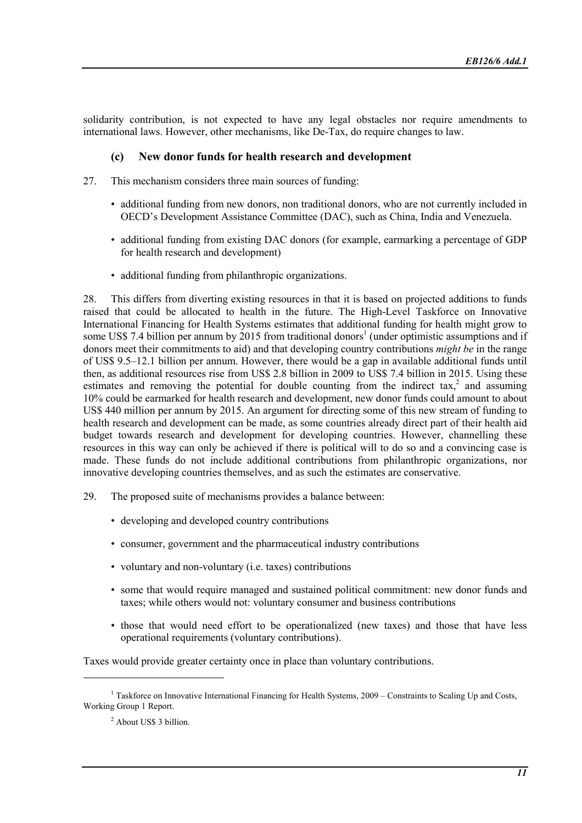solidarity contribution, is not expected to have any legal obstacles nor require amendments to international laws. However, other mechanisms, like De-Tax, do require changes to law.

## (c) New donor funds for health research and development

- 27. This mechanism considers three main sources of funding:
	- additional funding from new donors, non traditional donors, who are not currently included in OECD's Development Assistance Committee (DAC), such as China, India and Venezuela.
	- additional funding from existing DAC donors (for example, earmarking a percentage of GDP for health research and development)
	- additional funding from philanthropic organizations.

28. This differs from diverting existing resources in that it is based on projected additions to funds raised that could be allocated to health in the future. The High-Level Taskforce on Innovative International Financing for Health Systems estimates that additional funding for health might grow to some US\$ 7.4 billion per annum by 2015 from traditional donors<sup>1</sup> (under optimistic assumptions and if donors meet their commitments to aid) and that developing country contributions *might be* in the range of US\$ 9.5–12.1 billion per annum. However, there would be a gap in available additional funds until then, as additional resources rise from US\$ 2.8 billion in 2009 to US\$ 7.4 billion in 2015. Using these estimates and removing the potential for double counting from the indirect  $\text{tax,}^2$  and assuming 10% could be earmarked for health research and development, new donor funds could amount to about US\$ 440 million per annum by 2015. An argument for directing some of this new stream of funding to health research and development can be made, as some countries already direct part of their health aid budget towards research and development for developing countries. However, channelling these resources in this way can only be achieved if there is political will to do so and a convincing case is made. These funds do not include additional contributions from philanthropic organizations, nor innovative developing countries themselves, and as such the estimates are conservative.

- 29. The proposed suite of mechanisms provides a balance between:
	- developing and developed country contributions
	- consumer, government and the pharmaceutical industry contributions
	- voluntary and non-voluntary (i.e. taxes) contributions
	- some that would require managed and sustained political commitment: new donor funds and taxes; while others would not: voluntary consumer and business contributions
	- those that would need effort to be operationalized (new taxes) and those that have less operational requirements (voluntary contributions).

Taxes would provide greater certainty once in place than voluntary contributions.

<sup>&</sup>lt;sup>1</sup> Taskforce on Innovative International Financing for Health Systems, 2009 – Constraints to Scaling Up and Costs, Working Group 1 Report.

<sup>&</sup>lt;sup>2</sup> About US\$ 3 billion.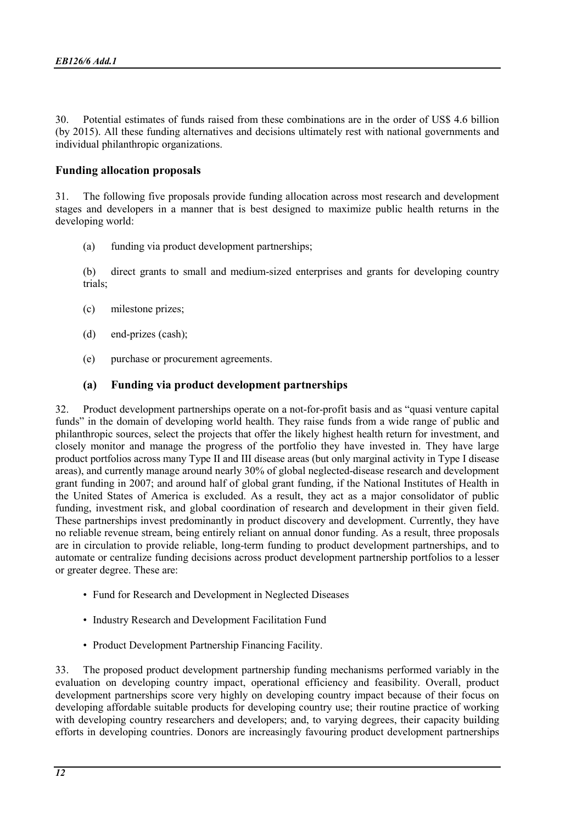30. Potential estimates of funds raised from these combinations are in the order of US\$ 4.6 billion (by 2015). All these funding alternatives and decisions ultimately rest with national governments and individual philanthropic organizations.

# Funding allocation proposals

31. The following five proposals provide funding allocation across most research and development stages and developers in a manner that is best designed to maximize public health returns in the developing world:

(a) funding via product development partnerships;

(b) direct grants to small and medium-sized enterprises and grants for developing country trials;

- (c) milestone prizes;
- (d) end-prizes (cash);
- (e) purchase or procurement agreements.

#### (a) Funding via product development partnerships

32. Product development partnerships operate on a not-for-profit basis and as "quasi venture capital funds" in the domain of developing world health. They raise funds from a wide range of public and philanthropic sources, select the projects that offer the likely highest health return for investment, and closely monitor and manage the progress of the portfolio they have invested in. They have large product portfolios across many Type II and III disease areas (but only marginal activity in Type I disease areas), and currently manage around nearly 30% of global neglected-disease research and development grant funding in 2007; and around half of global grant funding, if the National Institutes of Health in the United States of America is excluded. As a result, they act as a major consolidator of public funding, investment risk, and global coordination of research and development in their given field. These partnerships invest predominantly in product discovery and development. Currently, they have no reliable revenue stream, being entirely reliant on annual donor funding. As a result, three proposals are in circulation to provide reliable, long-term funding to product development partnerships, and to automate or centralize funding decisions across product development partnership portfolios to a lesser or greater degree. These are:

- Fund for Research and Development in Neglected Diseases
- Industry Research and Development Facilitation Fund
- Product Development Partnership Financing Facility.

33. The proposed product development partnership funding mechanisms performed variably in the evaluation on developing country impact, operational efficiency and feasibility. Overall, product development partnerships score very highly on developing country impact because of their focus on developing affordable suitable products for developing country use; their routine practice of working with developing country researchers and developers; and, to varying degrees, their capacity building efforts in developing countries. Donors are increasingly favouring product development partnerships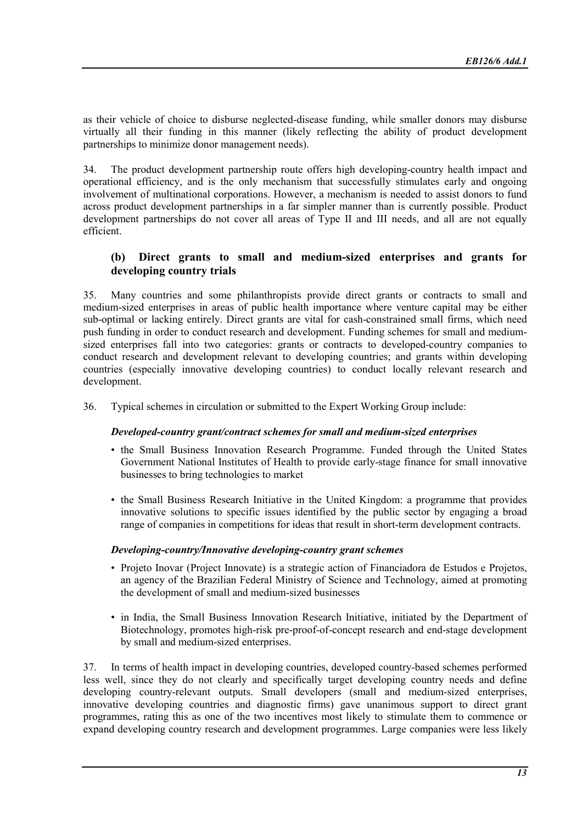as their vehicle of choice to disburse neglected-disease funding, while smaller donors may disburse virtually all their funding in this manner (likely reflecting the ability of product development partnerships to minimize donor management needs).

34. The product development partnership route offers high developing-country health impact and operational efficiency, and is the only mechanism that successfully stimulates early and ongoing involvement of multinational corporations. However, a mechanism is needed to assist donors to fund across product development partnerships in a far simpler manner than is currently possible. Product development partnerships do not cover all areas of Type II and III needs, and all are not equally efficient.

# (b) Direct grants to small and medium-sized enterprises and grants for developing country trials

35. Many countries and some philanthropists provide direct grants or contracts to small and medium-sized enterprises in areas of public health importance where venture capital may be either sub-optimal or lacking entirely. Direct grants are vital for cash-constrained small firms, which need push funding in order to conduct research and development. Funding schemes for small and mediumsized enterprises fall into two categories: grants or contracts to developed-country companies to conduct research and development relevant to developing countries; and grants within developing countries (especially innovative developing countries) to conduct locally relevant research and development.

36. Typical schemes in circulation or submitted to the Expert Working Group include:

#### Developed-country grant/contract schemes for small and medium-sized enterprises

- the Small Business Innovation Research Programme. Funded through the United States Government National Institutes of Health to provide early-stage finance for small innovative businesses to bring technologies to market
- the Small Business Research Initiative in the United Kingdom: a programme that provides innovative solutions to specific issues identified by the public sector by engaging a broad range of companies in competitions for ideas that result in short-term development contracts.

#### Developing-country/Innovative developing-country grant schemes

- Projeto Inovar (Project Innovate) is a strategic action of Financiadora de Estudos e Projetos, an agency of the Brazilian Federal Ministry of Science and Technology, aimed at promoting the development of small and medium-sized businesses
- in India, the Small Business Innovation Research Initiative, initiated by the Department of Biotechnology, promotes high-risk pre-proof-of-concept research and end-stage development by small and medium-sized enterprises.

37. In terms of health impact in developing countries, developed country-based schemes performed less well, since they do not clearly and specifically target developing country needs and define developing country-relevant outputs. Small developers (small and medium-sized enterprises, innovative developing countries and diagnostic firms) gave unanimous support to direct grant programmes, rating this as one of the two incentives most likely to stimulate them to commence or expand developing country research and development programmes. Large companies were less likely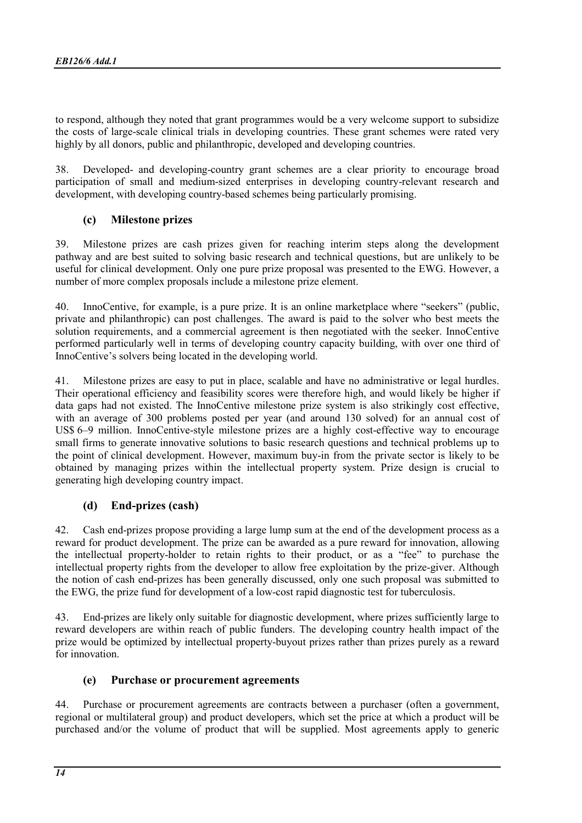to respond, although they noted that grant programmes would be a very welcome support to subsidize the costs of large-scale clinical trials in developing countries. These grant schemes were rated very highly by all donors, public and philanthropic, developed and developing countries.

38. Developed- and developing-country grant schemes are a clear priority to encourage broad participation of small and medium-sized enterprises in developing country-relevant research and development, with developing country-based schemes being particularly promising.

# (c) Milestone prizes

39. Milestone prizes are cash prizes given for reaching interim steps along the development pathway and are best suited to solving basic research and technical questions, but are unlikely to be useful for clinical development. Only one pure prize proposal was presented to the EWG. However, a number of more complex proposals include a milestone prize element.

40. InnoCentive, for example, is a pure prize. It is an online marketplace where "seekers" (public, private and philanthropic) can post challenges. The award is paid to the solver who best meets the solution requirements, and a commercial agreement is then negotiated with the seeker. InnoCentive performed particularly well in terms of developing country capacity building, with over one third of InnoCentive's solvers being located in the developing world.

41. Milestone prizes are easy to put in place, scalable and have no administrative or legal hurdles. Their operational efficiency and feasibility scores were therefore high, and would likely be higher if data gaps had not existed. The InnoCentive milestone prize system is also strikingly cost effective, with an average of 300 problems posted per year (and around 130 solved) for an annual cost of US\$ 6–9 million. InnoCentive-style milestone prizes are a highly cost-effective way to encourage small firms to generate innovative solutions to basic research questions and technical problems up to the point of clinical development. However, maximum buy-in from the private sector is likely to be obtained by managing prizes within the intellectual property system. Prize design is crucial to generating high developing country impact.

# (d) End-prizes (cash)

42. Cash end-prizes propose providing a large lump sum at the end of the development process as a reward for product development. The prize can be awarded as a pure reward for innovation, allowing the intellectual property-holder to retain rights to their product, or as a "fee" to purchase the intellectual property rights from the developer to allow free exploitation by the prize-giver. Although the notion of cash end-prizes has been generally discussed, only one such proposal was submitted to the EWG, the prize fund for development of a low-cost rapid diagnostic test for tuberculosis.

43. End-prizes are likely only suitable for diagnostic development, where prizes sufficiently large to reward developers are within reach of public funders. The developing country health impact of the prize would be optimized by intellectual property-buyout prizes rather than prizes purely as a reward for innovation.

# (e) Purchase or procurement agreements

44. Purchase or procurement agreements are contracts between a purchaser (often a government, regional or multilateral group) and product developers, which set the price at which a product will be purchased and/or the volume of product that will be supplied. Most agreements apply to generic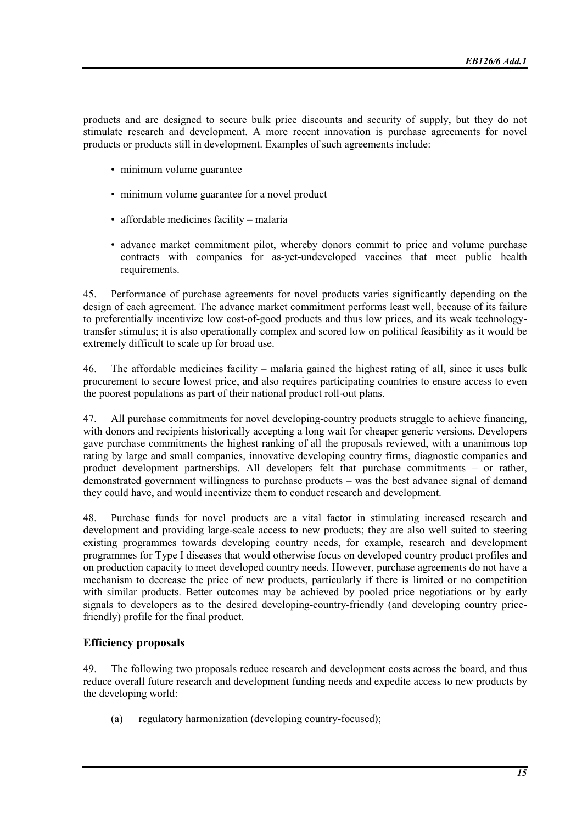products and are designed to secure bulk price discounts and security of supply, but they do not stimulate research and development. A more recent innovation is purchase agreements for novel products or products still in development. Examples of such agreements include:

- minimum volume guarantee
- minimum volume guarantee for a novel product
- affordable medicines facility malaria
- advance market commitment pilot, whereby donors commit to price and volume purchase contracts with companies for as-yet-undeveloped vaccines that meet public health requirements.

45. Performance of purchase agreements for novel products varies significantly depending on the design of each agreement. The advance market commitment performs least well, because of its failure to preferentially incentivize low cost-of-good products and thus low prices, and its weak technologytransfer stimulus; it is also operationally complex and scored low on political feasibility as it would be extremely difficult to scale up for broad use.

46. The affordable medicines facility – malaria gained the highest rating of all, since it uses bulk procurement to secure lowest price, and also requires participating countries to ensure access to even the poorest populations as part of their national product roll-out plans.

47. All purchase commitments for novel developing-country products struggle to achieve financing, with donors and recipients historically accepting a long wait for cheaper generic versions. Developers gave purchase commitments the highest ranking of all the proposals reviewed, with a unanimous top rating by large and small companies, innovative developing country firms, diagnostic companies and product development partnerships. All developers felt that purchase commitments – or rather, demonstrated government willingness to purchase products – was the best advance signal of demand they could have, and would incentivize them to conduct research and development.

48. Purchase funds for novel products are a vital factor in stimulating increased research and development and providing large-scale access to new products; they are also well suited to steering existing programmes towards developing country needs, for example, research and development programmes for Type I diseases that would otherwise focus on developed country product profiles and on production capacity to meet developed country needs. However, purchase agreements do not have a mechanism to decrease the price of new products, particularly if there is limited or no competition with similar products. Better outcomes may be achieved by pooled price negotiations or by early signals to developers as to the desired developing-country-friendly (and developing country pricefriendly) profile for the final product.

#### Efficiency proposals

49. The following two proposals reduce research and development costs across the board, and thus reduce overall future research and development funding needs and expedite access to new products by the developing world:

(a) regulatory harmonization (developing country-focused);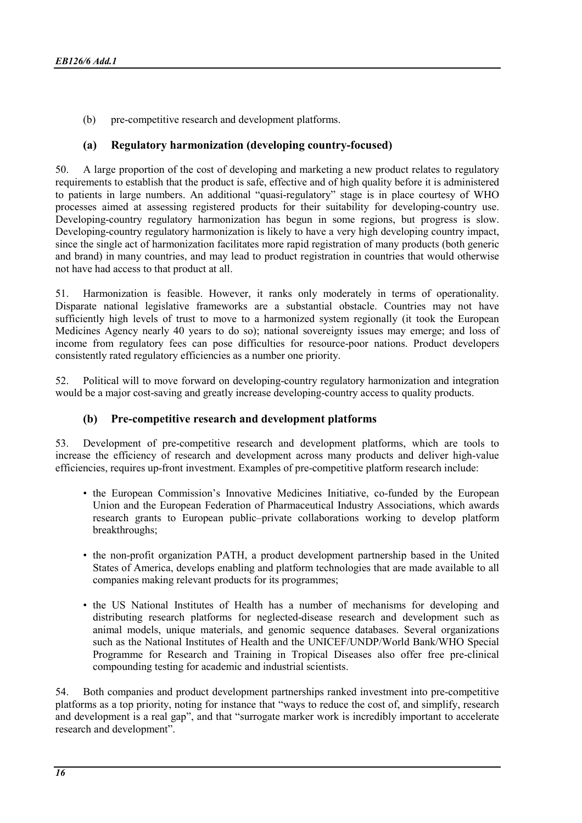(b) pre-competitive research and development platforms.

# (a) Regulatory harmonization (developing country-focused)

50. A large proportion of the cost of developing and marketing a new product relates to regulatory requirements to establish that the product is safe, effective and of high quality before it is administered to patients in large numbers. An additional "quasi-regulatory" stage is in place courtesy of WHO processes aimed at assessing registered products for their suitability for developing-country use. Developing-country regulatory harmonization has begun in some regions, but progress is slow. Developing-country regulatory harmonization is likely to have a very high developing country impact, since the single act of harmonization facilitates more rapid registration of many products (both generic and brand) in many countries, and may lead to product registration in countries that would otherwise not have had access to that product at all.

51. Harmonization is feasible. However, it ranks only moderately in terms of operationality. Disparate national legislative frameworks are a substantial obstacle. Countries may not have sufficiently high levels of trust to move to a harmonized system regionally (it took the European Medicines Agency nearly 40 years to do so); national sovereignty issues may emerge; and loss of income from regulatory fees can pose difficulties for resource-poor nations. Product developers consistently rated regulatory efficiencies as a number one priority.

52. Political will to move forward on developing-country regulatory harmonization and integration would be a major cost-saving and greatly increase developing-country access to quality products.

# (b) Pre-competitive research and development platforms

53. Development of pre-competitive research and development platforms, which are tools to increase the efficiency of research and development across many products and deliver high-value efficiencies, requires up-front investment. Examples of pre-competitive platform research include:

- the European Commission's Innovative Medicines Initiative, co-funded by the European Union and the European Federation of Pharmaceutical Industry Associations, which awards research grants to European public–private collaborations working to develop platform breakthroughs;
- the non-profit organization PATH, a product development partnership based in the United States of America, develops enabling and platform technologies that are made available to all companies making relevant products for its programmes;
- the US National Institutes of Health has a number of mechanisms for developing and distributing research platforms for neglected-disease research and development such as animal models, unique materials, and genomic sequence databases. Several organizations such as the National Institutes of Health and the UNICEF/UNDP/World Bank/WHO Special Programme for Research and Training in Tropical Diseases also offer free pre-clinical compounding testing for academic and industrial scientists.

54. Both companies and product development partnerships ranked investment into pre-competitive platforms as a top priority, noting for instance that "ways to reduce the cost of, and simplify, research and development is a real gap", and that "surrogate marker work is incredibly important to accelerate research and development".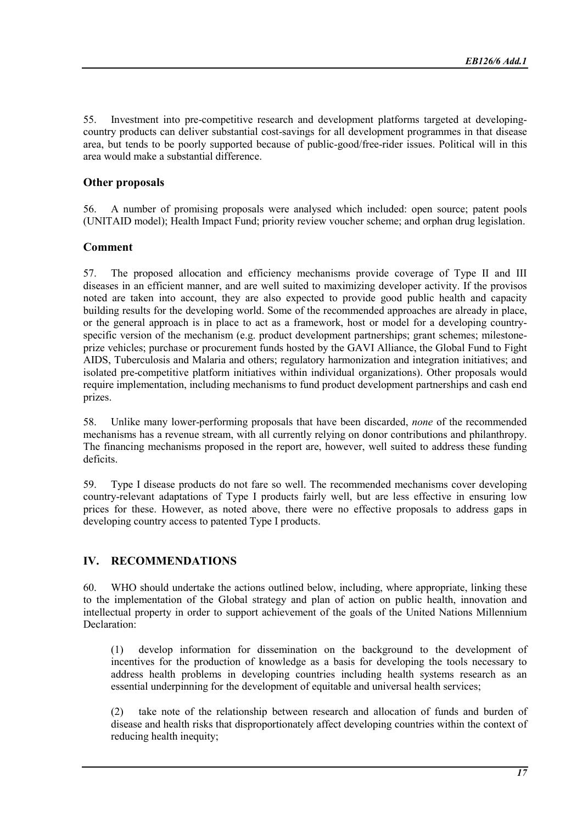55. Investment into pre-competitive research and development platforms targeted at developingcountry products can deliver substantial cost-savings for all development programmes in that disease area, but tends to be poorly supported because of public-good/free-rider issues. Political will in this area would make a substantial difference.

# Other proposals

56. A number of promising proposals were analysed which included: open source; patent pools (UNITAID model); Health Impact Fund; priority review voucher scheme; and orphan drug legislation.

# Comment

57. The proposed allocation and efficiency mechanisms provide coverage of Type II and III diseases in an efficient manner, and are well suited to maximizing developer activity. If the provisos noted are taken into account, they are also expected to provide good public health and capacity building results for the developing world. Some of the recommended approaches are already in place, or the general approach is in place to act as a framework, host or model for a developing countryspecific version of the mechanism (e.g. product development partnerships; grant schemes; milestoneprize vehicles; purchase or procurement funds hosted by the GAVI Alliance, the Global Fund to Fight AIDS, Tuberculosis and Malaria and others; regulatory harmonization and integration initiatives; and isolated pre-competitive platform initiatives within individual organizations). Other proposals would require implementation, including mechanisms to fund product development partnerships and cash end prizes.

58. Unlike many lower-performing proposals that have been discarded, none of the recommended mechanisms has a revenue stream, with all currently relying on donor contributions and philanthropy. The financing mechanisms proposed in the report are, however, well suited to address these funding deficits.

59. Type I disease products do not fare so well. The recommended mechanisms cover developing country-relevant adaptations of Type I products fairly well, but are less effective in ensuring low prices for these. However, as noted above, there were no effective proposals to address gaps in developing country access to patented Type I products.

# IV. RECOMMENDATIONS

60. WHO should undertake the actions outlined below, including, where appropriate, linking these to the implementation of the Global strategy and plan of action on public health, innovation and intellectual property in order to support achievement of the goals of the United Nations Millennium Declaration:

(1) develop information for dissemination on the background to the development of incentives for the production of knowledge as a basis for developing the tools necessary to address health problems in developing countries including health systems research as an essential underpinning for the development of equitable and universal health services;

(2) take note of the relationship between research and allocation of funds and burden of disease and health risks that disproportionately affect developing countries within the context of reducing health inequity;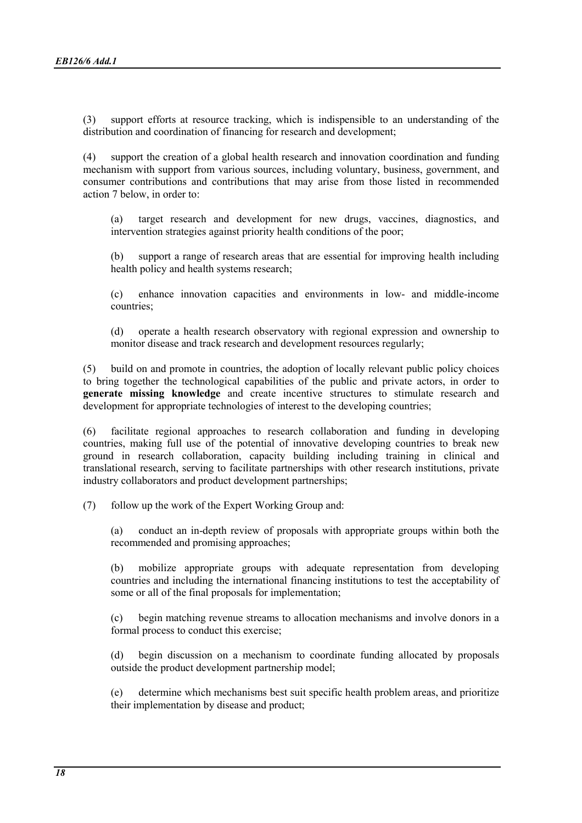(3) support efforts at resource tracking, which is indispensible to an understanding of the distribution and coordination of financing for research and development;

(4) support the creation of a global health research and innovation coordination and funding mechanism with support from various sources, including voluntary, business, government, and consumer contributions and contributions that may arise from those listed in recommended action 7 below, in order to:

(a) target research and development for new drugs, vaccines, diagnostics, and intervention strategies against priority health conditions of the poor;

(b) support a range of research areas that are essential for improving health including health policy and health systems research;

(c) enhance innovation capacities and environments in low- and middle-income countries;

(d) operate a health research observatory with regional expression and ownership to monitor disease and track research and development resources regularly;

(5) build on and promote in countries, the adoption of locally relevant public policy choices to bring together the technological capabilities of the public and private actors, in order to generate missing knowledge and create incentive structures to stimulate research and development for appropriate technologies of interest to the developing countries;

(6) facilitate regional approaches to research collaboration and funding in developing countries, making full use of the potential of innovative developing countries to break new ground in research collaboration, capacity building including training in clinical and translational research, serving to facilitate partnerships with other research institutions, private industry collaborators and product development partnerships;

(7) follow up the work of the Expert Working Group and:

(a) conduct an in-depth review of proposals with appropriate groups within both the recommended and promising approaches;

(b) mobilize appropriate groups with adequate representation from developing countries and including the international financing institutions to test the acceptability of some or all of the final proposals for implementation;

(c) begin matching revenue streams to allocation mechanisms and involve donors in a formal process to conduct this exercise;

(d) begin discussion on a mechanism to coordinate funding allocated by proposals outside the product development partnership model;

(e) determine which mechanisms best suit specific health problem areas, and prioritize their implementation by disease and product;